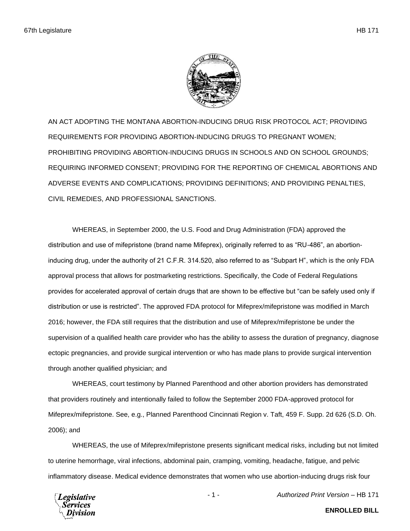

AN ACT ADOPTING THE MONTANA ABORTION-INDUCING DRUG RISK PROTOCOL ACT; PROVIDING REQUIREMENTS FOR PROVIDING ABORTION-INDUCING DRUGS TO PREGNANT WOMEN; PROHIBITING PROVIDING ABORTION-INDUCING DRUGS IN SCHOOLS AND ON SCHOOL GROUNDS; REQUIRING INFORMED CONSENT; PROVIDING FOR THE REPORTING OF CHEMICAL ABORTIONS AND ADVERSE EVENTS AND COMPLICATIONS; PROVIDING DEFINITIONS; AND PROVIDING PENALTIES, CIVIL REMEDIES, AND PROFESSIONAL SANCTIONS.

WHEREAS, in September 2000, the U.S. Food and Drug Administration (FDA) approved the distribution and use of mifepristone (brand name Mifeprex), originally referred to as "RU-486", an abortioninducing drug, under the authority of 21 C.F.R. 314.520, also referred to as "Subpart H", which is the only FDA approval process that allows for postmarketing restrictions. Specifically, the Code of Federal Regulations provides for accelerated approval of certain drugs that are shown to be effective but "can be safely used only if distribution or use is restricted". The approved FDA protocol for Mifeprex/mifepristone was modified in March 2016; however, the FDA still requires that the distribution and use of Mifeprex/mifepristone be under the supervision of a qualified health care provider who has the ability to assess the duration of pregnancy, diagnose ectopic pregnancies, and provide surgical intervention or who has made plans to provide surgical intervention through another qualified physician; and

WHEREAS, court testimony by Planned Parenthood and other abortion providers has demonstrated that providers routinely and intentionally failed to follow the September 2000 FDA-approved protocol for Mifeprex/mifepristone. See, e.g., Planned Parenthood Cincinnati Region v. Taft, 459 F. Supp. 2d 626 (S.D. Oh. 2006); and

WHEREAS, the use of Mifeprex/mifepristone presents significant medical risks, including but not limited to uterine hemorrhage, viral infections, abdominal pain, cramping, vomiting, headache, fatigue, and pelvic inflammatory disease. Medical evidence demonstrates that women who use abortion-inducing drugs risk four

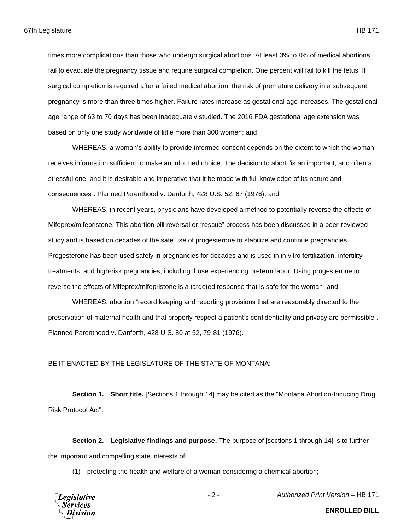times more complications than those who undergo surgical abortions. At least 3% to 8% of medical abortions fail to evacuate the pregnancy tissue and require surgical completion. One percent will fail to kill the fetus. If surgical completion is required after a failed medical abortion, the risk of premature delivery in a subsequent pregnancy is more than three times higher. Failure rates increase as gestational age increases. The gestational age range of 63 to 70 days has been inadequately studied. The 2016 FDA gestational age extension was based on only one study worldwide of little more than 300 women; and

WHEREAS, a woman's ability to provide informed consent depends on the extent to which the woman receives information sufficient to make an informed choice. The decision to abort "is an important, and often a stressful one, and it is desirable and imperative that it be made with full knowledge of its nature and consequences". Planned Parenthood v. Danforth, 428 U.S. 52, 67 (1976); and

WHEREAS, in recent years, physicians have developed a method to potentially reverse the effects of Mifeprex/mifepristone. This abortion pill reversal or "rescue" process has been discussed in a peer-reviewed study and is based on decades of the safe use of progesterone to stabilize and continue pregnancies. Progesterone has been used safely in pregnancies for decades and is used in in vitro fertilization, infertility treatments, and high-risk pregnancies, including those experiencing preterm labor. Using progesterone to reverse the effects of Mifeprex/mifepristone is a targeted response that is safe for the woman; and

WHEREAS, abortion "record keeping and reporting provisions that are reasonably directed to the preservation of maternal health and that properly respect a patient's confidentiality and privacy are permissible". Planned Parenthood v. Danforth, 428 U.S. 80 at 52, 79-81 (1976).

## BE IT ENACTED BY THE LEGISLATURE OF THE STATE OF MONTANA:

**Section 1. Short title.** [Sections 1 through 14] may be cited as the "Montana Abortion-Inducing Drug Risk Protocol Act".

**Section 2. Legislative findings and purpose.** The purpose of [sections 1 through 14] is to further the important and compelling state interests of:

(1) protecting the health and welfare of a woman considering a chemical abortion;



- 2 - *Authorized Print Version* – HB 171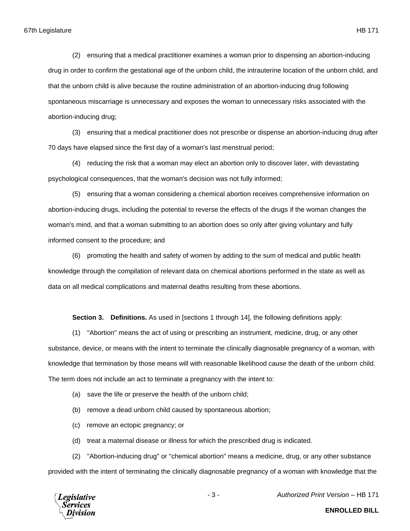(2) ensuring that a medical practitioner examines a woman prior to dispensing an abortion-inducing drug in order to confirm the gestational age of the unborn child, the intrauterine location of the unborn child, and that the unborn child is alive because the routine administration of an abortion-inducing drug following spontaneous miscarriage is unnecessary and exposes the woman to unnecessary risks associated with the abortion-inducing drug;

(3) ensuring that a medical practitioner does not prescribe or dispense an abortion-inducing drug after 70 days have elapsed since the first day of a woman's last menstrual period;

(4) reducing the risk that a woman may elect an abortion only to discover later, with devastating psychological consequences, that the woman's decision was not fully informed;

(5) ensuring that a woman considering a chemical abortion receives comprehensive information on abortion-inducing drugs, including the potential to reverse the effects of the drugs if the woman changes the woman's mind, and that a woman submitting to an abortion does so only after giving voluntary and fully informed consent to the procedure; and

(6) promoting the health and safety of women by adding to the sum of medical and public health knowledge through the compilation of relevant data on chemical abortions performed in the state as well as data on all medical complications and maternal deaths resulting from these abortions.

**Section 3. Definitions.** As used in [sections 1 through 14], the following definitions apply:

(1) "Abortion" means the act of using or prescribing an instrument, medicine, drug, or any other substance, device, or means with the intent to terminate the clinically diagnosable pregnancy of a woman, with knowledge that termination by those means will with reasonable likelihood cause the death of the unborn child. The term does not include an act to terminate a pregnancy with the intent to:

- (a) save the life or preserve the health of the unborn child;
- (b) remove a dead unborn child caused by spontaneous abortion;
- (c) remove an ectopic pregnancy; or
- (d) treat a maternal disease or illness for which the prescribed drug is indicated.

(2) "Abortion-inducing drug" or "chemical abortion" means a medicine, drug, or any other substance provided with the intent of terminating the clinically diagnosable pregnancy of a woman with knowledge that the



- 3 - *Authorized Print Version* – HB 171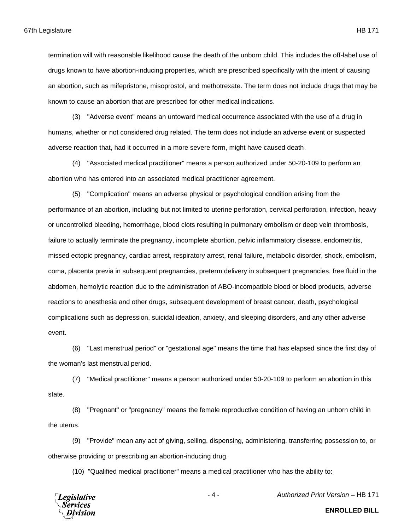termination will with reasonable likelihood cause the death of the unborn child. This includes the off-label use of drugs known to have abortion-inducing properties, which are prescribed specifically with the intent of causing an abortion, such as mifepristone, misoprostol, and methotrexate. The term does not include drugs that may be known to cause an abortion that are prescribed for other medical indications.

(3) "Adverse event" means an untoward medical occurrence associated with the use of a drug in humans, whether or not considered drug related. The term does not include an adverse event or suspected adverse reaction that, had it occurred in a more severe form, might have caused death.

(4) "Associated medical practitioner" means a person authorized under 50-20-109 to perform an abortion who has entered into an associated medical practitioner agreement.

(5) "Complication" means an adverse physical or psychological condition arising from the performance of an abortion, including but not limited to uterine perforation, cervical perforation, infection, heavy or uncontrolled bleeding, hemorrhage, blood clots resulting in pulmonary embolism or deep vein thrombosis, failure to actually terminate the pregnancy, incomplete abortion, pelvic inflammatory disease, endometritis, missed ectopic pregnancy, cardiac arrest, respiratory arrest, renal failure, metabolic disorder, shock, embolism, coma, placenta previa in subsequent pregnancies, preterm delivery in subsequent pregnancies, free fluid in the abdomen, hemolytic reaction due to the administration of ABO-incompatible blood or blood products, adverse reactions to anesthesia and other drugs, subsequent development of breast cancer, death, psychological complications such as depression, suicidal ideation, anxiety, and sleeping disorders, and any other adverse event.

(6) "Last menstrual period" or "gestational age" means the time that has elapsed since the first day of the woman's last menstrual period.

(7) "Medical practitioner" means a person authorized under 50-20-109 to perform an abortion in this state.

(8) "Pregnant" or "pregnancy" means the female reproductive condition of having an unborn child in the uterus.

(9) "Provide" mean any act of giving, selling, dispensing, administering, transferring possession to, or otherwise providing or prescribing an abortion-inducing drug.

(10) "Qualified medical practitioner" means a medical practitioner who has the ability to:



- 4 - *Authorized Print Version* – HB 171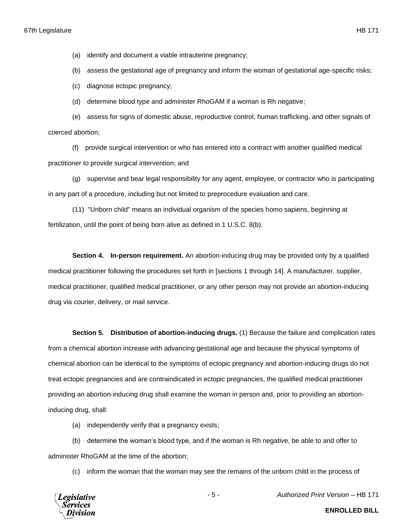(a) identify and document a viable intrauterine pregnancy;

(b) assess the gestational age of pregnancy and inform the woman of gestational age-specific risks;

(c) diagnose ectopic pregnancy;

(d) determine blood type and administer RhoGAM if a woman is Rh negative;

(e) assess for signs of domestic abuse, reproductive control, human trafficking, and other signals of coerced abortion;

(f) provide surgical intervention or who has entered into a contract with another qualified medical practitioner to provide surgical intervention; and

(g) supervise and bear legal responsibility for any agent, employee, or contractor who is participating in any part of a procedure, including but not limited to preprocedure evaluation and care.

(11) "Unborn child" means an individual organism of the species homo sapiens, beginning at fertilization, until the point of being born alive as defined in 1 U.S.C. 8(b).

**Section 4. In-person requirement.** An abortion-inducing drug may be provided only by a qualified medical practitioner following the procedures set forth in [sections 1 through 14]. A manufacturer, supplier, medical practitioner, qualified medical practitioner, or any other person may not provide an abortion-inducing drug via courier, delivery, or mail service.

**Section 5. Distribution of abortion-inducing drugs.** (1) Because the failure and complication rates

from a chemical abortion increase with advancing gestational age and because the physical symptoms of chemical abortion can be identical to the symptoms of ectopic pregnancy and abortion-inducing drugs do not treat ectopic pregnancies and are contraindicated in ectopic pregnancies, the qualified medical practitioner providing an abortion-inducing drug shall examine the woman in person and, prior to providing an abortioninducing drug, shall:

(a) independently verify that a pregnancy exists;

(b) determine the woman's blood type, and if the woman is Rh negative, be able to and offer to administer RhoGAM at the time of the abortion;

(c) inform the woman that the woman may see the remains of the unborn child in the process of



- 5 - *Authorized Print Version* – HB 171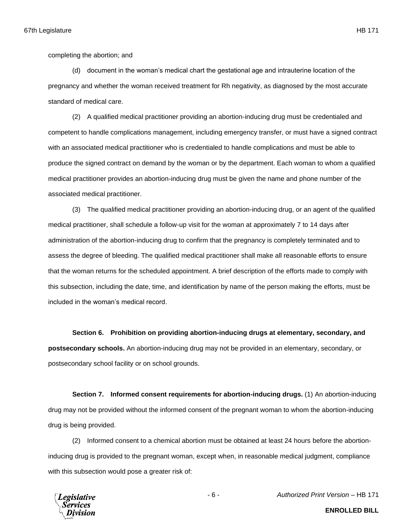completing the abortion; and

(d) document in the woman's medical chart the gestational age and intrauterine location of the pregnancy and whether the woman received treatment for Rh negativity, as diagnosed by the most accurate standard of medical care.

(2) A qualified medical practitioner providing an abortion-inducing drug must be credentialed and competent to handle complications management, including emergency transfer, or must have a signed contract with an associated medical practitioner who is credentialed to handle complications and must be able to produce the signed contract on demand by the woman or by the department. Each woman to whom a qualified medical practitioner provides an abortion-inducing drug must be given the name and phone number of the associated medical practitioner.

(3) The qualified medical practitioner providing an abortion-inducing drug, or an agent of the qualified medical practitioner, shall schedule a follow-up visit for the woman at approximately 7 to 14 days after administration of the abortion-inducing drug to confirm that the pregnancy is completely terminated and to assess the degree of bleeding. The qualified medical practitioner shall make all reasonable efforts to ensure that the woman returns for the scheduled appointment. A brief description of the efforts made to comply with this subsection, including the date, time, and identification by name of the person making the efforts, must be included in the woman's medical record.

**Section 6. Prohibition on providing abortion-inducing drugs at elementary, secondary, and postsecondary schools.** An abortion-inducing drug may not be provided in an elementary, secondary, or postsecondary school facility or on school grounds.

**Section 7. Informed consent requirements for abortion-inducing drugs.** (1) An abortion-inducing drug may not be provided without the informed consent of the pregnant woman to whom the abortion-inducing drug is being provided.

(2) Informed consent to a chemical abortion must be obtained at least 24 hours before the abortioninducing drug is provided to the pregnant woman, except when, in reasonable medical judgment, compliance with this subsection would pose a greater risk of:



- 6 - *Authorized Print Version* – HB 171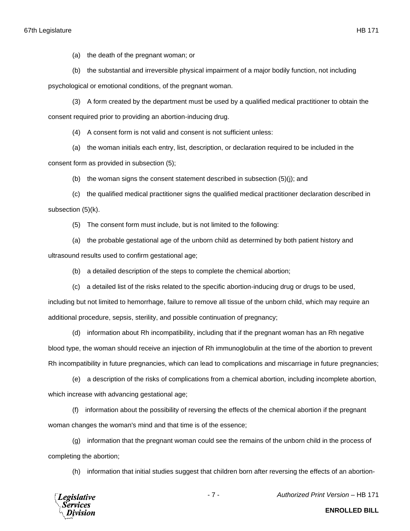(a) the death of the pregnant woman; or

(b) the substantial and irreversible physical impairment of a major bodily function, not including

psychological or emotional conditions, of the pregnant woman.

(3) A form created by the department must be used by a qualified medical practitioner to obtain the consent required prior to providing an abortion-inducing drug.

(4) A consent form is not valid and consent is not sufficient unless:

(a) the woman initials each entry, list, description, or declaration required to be included in the consent form as provided in subsection (5);

(b) the woman signs the consent statement described in subsection (5)(j); and

(c) the qualified medical practitioner signs the qualified medical practitioner declaration described in subsection (5)(k).

(5) The consent form must include, but is not limited to the following:

(a) the probable gestational age of the unborn child as determined by both patient history and

ultrasound results used to confirm gestational age;

(b) a detailed description of the steps to complete the chemical abortion;

(c) a detailed list of the risks related to the specific abortion-inducing drug or drugs to be used,

including but not limited to hemorrhage, failure to remove all tissue of the unborn child, which may require an additional procedure, sepsis, sterility, and possible continuation of pregnancy;

(d) information about Rh incompatibility, including that if the pregnant woman has an Rh negative blood type, the woman should receive an injection of Rh immunoglobulin at the time of the abortion to prevent Rh incompatibility in future pregnancies, which can lead to complications and miscarriage in future pregnancies;

(e) a description of the risks of complications from a chemical abortion, including incomplete abortion, which increase with advancing gestational age;

(f) information about the possibility of reversing the effects of the chemical abortion if the pregnant woman changes the woman's mind and that time is of the essence;

(g) information that the pregnant woman could see the remains of the unborn child in the process of completing the abortion;

(h) information that initial studies suggest that children born after reversing the effects of an abortion-



- 7 - *Authorized Print Version* – HB 171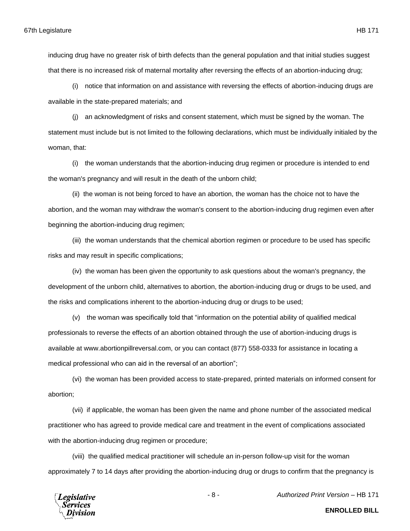inducing drug have no greater risk of birth defects than the general population and that initial studies suggest that there is no increased risk of maternal mortality after reversing the effects of an abortion-inducing drug;

(i) notice that information on and assistance with reversing the effects of abortion-inducing drugs are available in the state-prepared materials; and

(j) an acknowledgment of risks and consent statement, which must be signed by the woman. The statement must include but is not limited to the following declarations, which must be individually initialed by the woman, that:

(i) the woman understands that the abortion-inducing drug regimen or procedure is intended to end the woman's pregnancy and will result in the death of the unborn child;

(ii) the woman is not being forced to have an abortion, the woman has the choice not to have the abortion, and the woman may withdraw the woman's consent to the abortion-inducing drug regimen even after beginning the abortion-inducing drug regimen;

(iii) the woman understands that the chemical abortion regimen or procedure to be used has specific risks and may result in specific complications;

(iv) the woman has been given the opportunity to ask questions about the woman's pregnancy, the development of the unborn child, alternatives to abortion, the abortion-inducing drug or drugs to be used, and the risks and complications inherent to the abortion-inducing drug or drugs to be used;

(v) the woman was specifically told that "information on the potential ability of qualified medical professionals to reverse the effects of an abortion obtained through the use of abortion-inducing drugs is available at www.abortionpillreversal.com, or you can contact (877) 558-0333 for assistance in locating a medical professional who can aid in the reversal of an abortion";

(vi) the woman has been provided access to state-prepared, printed materials on informed consent for abortion;

(vii) if applicable, the woman has been given the name and phone number of the associated medical practitioner who has agreed to provide medical care and treatment in the event of complications associated with the abortion-inducing drug regimen or procedure;

(viii) the qualified medical practitioner will schedule an in-person follow-up visit for the woman approximately 7 to 14 days after providing the abortion-inducing drug or drugs to confirm that the pregnancy is



- 8 - *Authorized Print Version* – HB 171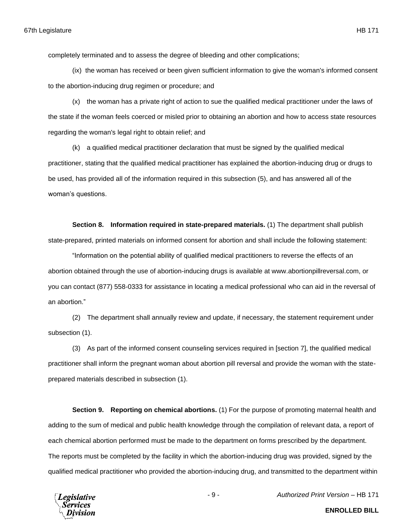completely terminated and to assess the degree of bleeding and other complications;

(ix) the woman has received or been given sufficient information to give the woman's informed consent to the abortion-inducing drug regimen or procedure; and

(x) the woman has a private right of action to sue the qualified medical practitioner under the laws of the state if the woman feels coerced or misled prior to obtaining an abortion and how to access state resources regarding the woman's legal right to obtain relief; and

(k) a qualified medical practitioner declaration that must be signed by the qualified medical practitioner, stating that the qualified medical practitioner has explained the abortion-inducing drug or drugs to be used, has provided all of the information required in this subsection (5), and has answered all of the woman's questions.

**Section 8. Information required in state-prepared materials.** (1) The department shall publish state-prepared, printed materials on informed consent for abortion and shall include the following statement:

"Information on the potential ability of qualified medical practitioners to reverse the effects of an abortion obtained through the use of abortion-inducing drugs is available at www.abortionpillreversal.com, or you can contact (877) 558-0333 for assistance in locating a medical professional who can aid in the reversal of an abortion."

(2) The department shall annually review and update, if necessary, the statement requirement under subsection (1).

(3) As part of the informed consent counseling services required in [section 7], the qualified medical practitioner shall inform the pregnant woman about abortion pill reversal and provide the woman with the stateprepared materials described in subsection (1).

**Section 9. Reporting on chemical abortions.** (1) For the purpose of promoting maternal health and adding to the sum of medical and public health knowledge through the compilation of relevant data, a report of each chemical abortion performed must be made to the department on forms prescribed by the department. The reports must be completed by the facility in which the abortion-inducing drug was provided, signed by the qualified medical practitioner who provided the abortion-inducing drug, and transmitted to the department within

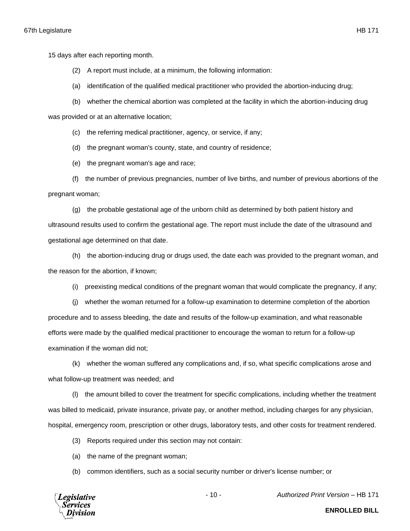15 days after each reporting month.

- (2) A report must include, at a minimum, the following information:
- (a) identification of the qualified medical practitioner who provided the abortion-inducing drug;
- (b) whether the chemical abortion was completed at the facility in which the abortion-inducing drug

was provided or at an alternative location;

- (c) the referring medical practitioner, agency, or service, if any;
- (d) the pregnant woman's county, state, and country of residence;

(e) the pregnant woman's age and race;

(f) the number of previous pregnancies, number of live births, and number of previous abortions of the pregnant woman;

(g) the probable gestational age of the unborn child as determined by both patient history and ultrasound results used to confirm the gestational age. The report must include the date of the ultrasound and gestational age determined on that date.

(h) the abortion-inducing drug or drugs used, the date each was provided to the pregnant woman, and the reason for the abortion, if known;

(i) preexisting medical conditions of the pregnant woman that would complicate the pregnancy, if any;

(j) whether the woman returned for a follow-up examination to determine completion of the abortion procedure and to assess bleeding, the date and results of the follow-up examination, and what reasonable efforts were made by the qualified medical practitioner to encourage the woman to return for a follow-up examination if the woman did not;

(k) whether the woman suffered any complications and, if so, what specific complications arose and what follow-up treatment was needed; and

(l) the amount billed to cover the treatment for specific complications, including whether the treatment was billed to medicaid, private insurance, private pay, or another method, including charges for any physician, hospital, emergency room, prescription or other drugs, laboratory tests, and other costs for treatment rendered.

- (3) Reports required under this section may not contain:
- (a) the name of the pregnant woman;
- (b) common identifiers, such as a social security number or driver's license number; or

**Legislative** Services

- 10 - *Authorized Print Version* – HB 171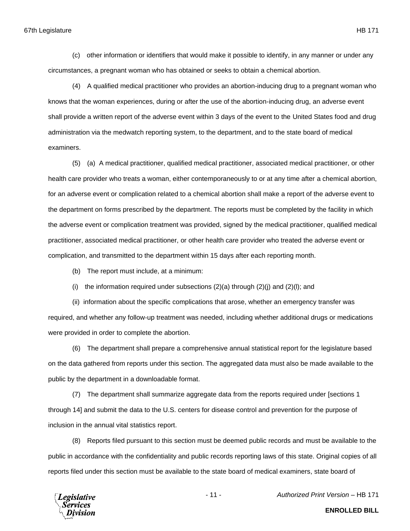(c) other information or identifiers that would make it possible to identify, in any manner or under any circumstances, a pregnant woman who has obtained or seeks to obtain a chemical abortion.

(4) A qualified medical practitioner who provides an abortion-inducing drug to a pregnant woman who knows that the woman experiences, during or after the use of the abortion-inducing drug, an adverse event shall provide a written report of the adverse event within 3 days of the event to the United States food and drug administration via the medwatch reporting system, to the department, and to the state board of medical examiners.

(5) (a) A medical practitioner, qualified medical practitioner, associated medical practitioner, or other health care provider who treats a woman, either contemporaneously to or at any time after a chemical abortion, for an adverse event or complication related to a chemical abortion shall make a report of the adverse event to the department on forms prescribed by the department. The reports must be completed by the facility in which the adverse event or complication treatment was provided, signed by the medical practitioner, qualified medical practitioner, associated medical practitioner, or other health care provider who treated the adverse event or complication, and transmitted to the department within 15 days after each reporting month.

(b) The report must include, at a minimum:

(i) the information required under subsections  $(2)(a)$  through  $(2)(i)$  and  $(2)(i)$ ; and

(ii) information about the specific complications that arose, whether an emergency transfer was required, and whether any follow-up treatment was needed, including whether additional drugs or medications were provided in order to complete the abortion.

(6) The department shall prepare a comprehensive annual statistical report for the legislature based on the data gathered from reports under this section. The aggregated data must also be made available to the public by the department in a downloadable format.

(7) The department shall summarize aggregate data from the reports required under [sections 1 through 14] and submit the data to the U.S. centers for disease control and prevention for the purpose of inclusion in the annual vital statistics report.

(8) Reports filed pursuant to this section must be deemed public records and must be available to the public in accordance with the confidentiality and public records reporting laws of this state. Original copies of all reports filed under this section must be available to the state board of medical examiners, state board of



- 11 - *Authorized Print Version* – HB 171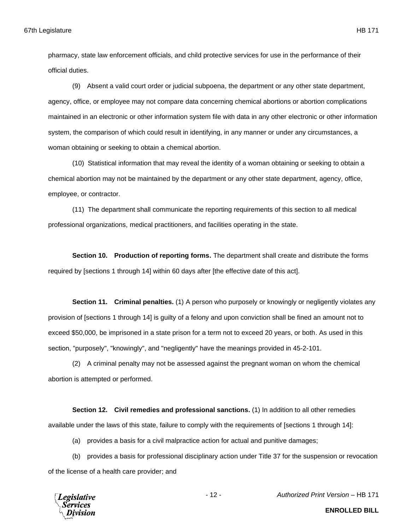pharmacy, state law enforcement officials, and child protective services for use in the performance of their official duties.

(9) Absent a valid court order or judicial subpoena, the department or any other state department, agency, office, or employee may not compare data concerning chemical abortions or abortion complications maintained in an electronic or other information system file with data in any other electronic or other information system, the comparison of which could result in identifying, in any manner or under any circumstances, a woman obtaining or seeking to obtain a chemical abortion.

(10) Statistical information that may reveal the identity of a woman obtaining or seeking to obtain a chemical abortion may not be maintained by the department or any other state department, agency, office, employee, or contractor.

(11) The department shall communicate the reporting requirements of this section to all medical professional organizations, medical practitioners, and facilities operating in the state.

**Section 10. Production of reporting forms.** The department shall create and distribute the forms required by [sections 1 through 14] within 60 days after [the effective date of this act].

**Section 11. Criminal penalties.** (1) A person who purposely or knowingly or negligently violates any provision of [sections 1 through 14] is guilty of a felony and upon conviction shall be fined an amount not to exceed \$50,000, be imprisoned in a state prison for a term not to exceed 20 years, or both. As used in this section, "purposely", "knowingly", and "negligently" have the meanings provided in 45-2-101.

(2) A criminal penalty may not be assessed against the pregnant woman on whom the chemical abortion is attempted or performed.

**Section 12. Civil remedies and professional sanctions.** (1) In addition to all other remedies available under the laws of this state, failure to comply with the requirements of [sections 1 through 14]:

(a) provides a basis for a civil malpractice action for actual and punitive damages;

(b) provides a basis for professional disciplinary action under Title 37 for the suspension or revocation of the license of a health care provider; and

**Legislative** Services

- 12 - *Authorized Print Version* – HB 171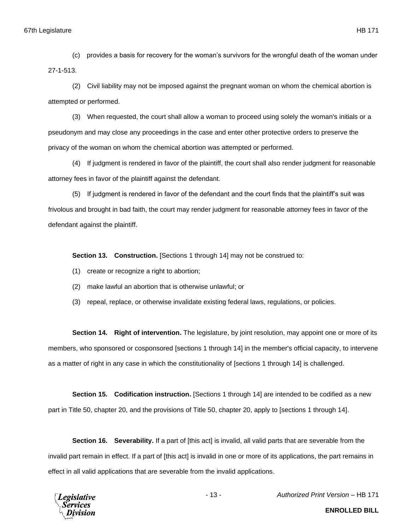(c) provides a basis for recovery for the woman's survivors for the wrongful death of the woman under 27-1-513.

(2) Civil liability may not be imposed against the pregnant woman on whom the chemical abortion is attempted or performed.

(3) When requested, the court shall allow a woman to proceed using solely the woman's initials or a pseudonym and may close any proceedings in the case and enter other protective orders to preserve the privacy of the woman on whom the chemical abortion was attempted or performed.

(4) If judgment is rendered in favor of the plaintiff, the court shall also render judgment for reasonable attorney fees in favor of the plaintiff against the defendant.

(5) If judgment is rendered in favor of the defendant and the court finds that the plaintiff's suit was frivolous and brought in bad faith, the court may render judgment for reasonable attorney fees in favor of the defendant against the plaintiff.

**Section 13. Construction.** [Sections 1 through 14] may not be construed to:

- (1) create or recognize a right to abortion;
- (2) make lawful an abortion that is otherwise unlawful; or
- (3) repeal, replace, or otherwise invalidate existing federal laws, regulations, or policies.

**Section 14. Right of intervention.** The legislature, by joint resolution, may appoint one or more of its members, who sponsored or cosponsored [sections 1 through 14] in the member's official capacity, to intervene as a matter of right in any case in which the constitutionality of [sections 1 through 14] is challenged.

**Section 15. Codification instruction.** [Sections 1 through 14] are intended to be codified as a new part in Title 50, chapter 20, and the provisions of Title 50, chapter 20, apply to [sections 1 through 14].

**Section 16. Severability.** If a part of [this act] is invalid, all valid parts that are severable from the invalid part remain in effect. If a part of [this act] is invalid in one or more of its applications, the part remains in effect in all valid applications that are severable from the invalid applications.



- 13 - *Authorized Print Version* – HB 171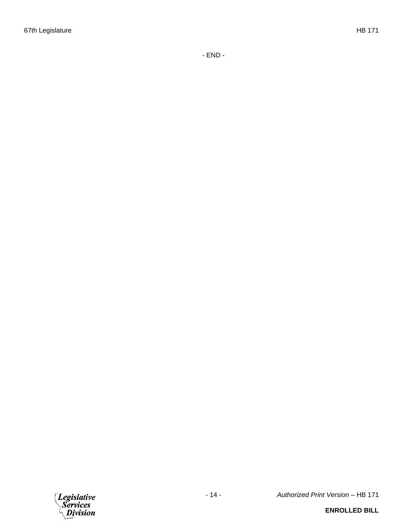- END -



- 14 - *Authorized Print Version* – HB 171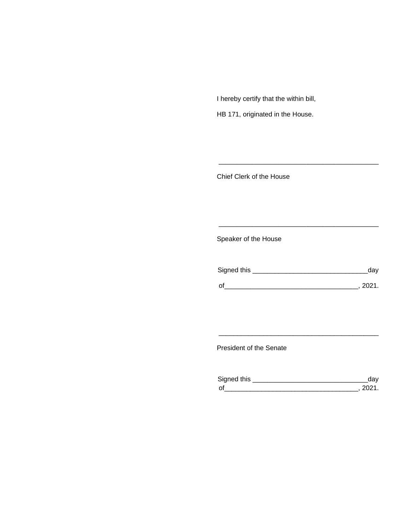I hereby certify that the within bill,

HB 171, originated in the House.

Chief Clerk of the House

Speaker of the House

| Signed this | day  |
|-------------|------|
| $\Omega$    | 2021 |

\_\_\_\_\_\_\_\_\_\_\_\_\_\_\_\_\_\_\_\_\_\_\_\_\_\_\_\_\_\_\_\_\_\_\_\_\_\_\_\_\_\_\_

\_\_\_\_\_\_\_\_\_\_\_\_\_\_\_\_\_\_\_\_\_\_\_\_\_\_\_\_\_\_\_\_\_\_\_\_\_\_\_\_\_\_\_

President of the Senate

| Sianed this |  |
|-------------|--|
| $\Omega$    |  |

\_\_\_\_\_\_\_\_\_\_\_\_\_\_\_\_\_\_\_\_\_\_\_\_\_\_\_\_\_\_\_\_\_\_\_\_\_\_\_\_\_\_\_